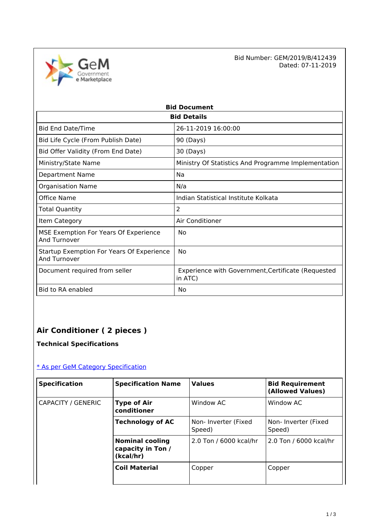

Bid Number: GEM/2019/B/412439<br>Dated: 07-11-2019 Dated: 07-11-2019

| <b>Bid Document</b>                                       |                                                               |  |  |
|-----------------------------------------------------------|---------------------------------------------------------------|--|--|
| <b>Bid Details</b>                                        |                                                               |  |  |
| <b>Bid End Date/Time</b>                                  | 26-11-2019 16:00:00                                           |  |  |
| Bid Life Cycle (From Publish Date)                        | 90 (Days)                                                     |  |  |
| Bid Offer Validity (From End Date)                        | 30 (Days)                                                     |  |  |
| Ministry/State Name                                       | Ministry Of Statistics And Programme Implementation           |  |  |
| <b>Department Name</b>                                    | Na                                                            |  |  |
| <b>Organisation Name</b>                                  | N/a                                                           |  |  |
| Office Name                                               | Indian Statistical Institute Kolkata                          |  |  |
| Total Quantity                                            | 2                                                             |  |  |
| Item Category                                             | Air Conditioner                                               |  |  |
| MSE Exemption For Years Of Experience<br>And Turnover     | No                                                            |  |  |
| Startup Exemption For Years Of Experience<br>And Turnover | No                                                            |  |  |
| Document required from seller                             | Experience with Government, Certificate (Requested<br>in ATC) |  |  |
| Bid to RA enabled                                         | No                                                            |  |  |

## **Air Conditioner ( 2 pieces )**

## **Technical Specifications**

### [\\* As per GeM Category Specification](https://bidplus.gem.gov.in/bidding/bid/showCatalogue/P1oWS_GLqgbO0NpqQcBrKMg3vnG6L9sXTvJE0PJF0yU)

| <b>Specification</b> | <b>Specification Name</b>                                | <b>Values</b>                 | <b>Bid Requirement</b><br>(Allowed Values) |
|----------------------|----------------------------------------------------------|-------------------------------|--------------------------------------------|
| CAPACITY / GENERIC   | <b>Type of Air</b><br>conditioner                        | Window AC                     | Window AC                                  |
|                      | <b>Technology of AC</b>                                  | Non-Inverter (Fixed<br>Speed) | Non-Inverter (Fixed<br>Speed)              |
|                      | <b>Nominal cooling</b><br>capacity in Ton /<br>(kcal/hr) | 2.0 Ton / 6000 kcal/hr        | 2.0 Ton / 6000 kcal/hr                     |
|                      | <b>Coil Material</b>                                     | Copper                        | Copper                                     |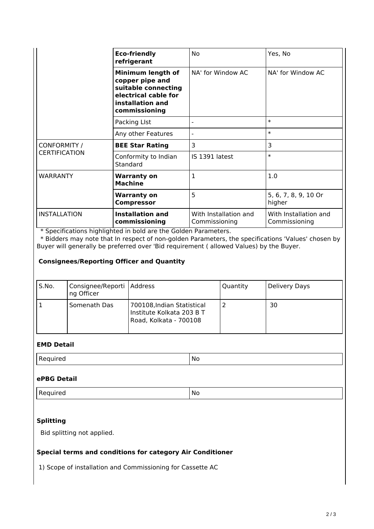|                                      | <b>Eco-friendly</b><br>refrigerant                                                                                       | No                                     | Yes, No                                |
|--------------------------------------|--------------------------------------------------------------------------------------------------------------------------|----------------------------------------|----------------------------------------|
|                                      | Minimum length of<br>copper pipe and<br>suitable connecting<br>electrical cable for<br>installation and<br>commissioning | NA' for Window AC                      | NA' for Window AC                      |
|                                      | Packing LIst                                                                                                             |                                        | $\ast$                                 |
|                                      | Any other Features                                                                                                       | $\overline{\phantom{a}}$               | $\ast$                                 |
| CONFORMITY /<br><b>CERTIFICATION</b> | <b>BEE Star Rating</b>                                                                                                   | 3                                      | 3                                      |
|                                      | Conformity to Indian<br>Standard                                                                                         | IS 1391 latest                         | $\ast$                                 |
| <b>WARRANTY</b>                      | <b>Warranty on</b><br><b>Machine</b>                                                                                     | 1                                      | 1.0                                    |
|                                      | <b>Warranty on</b><br><b>Compressor</b>                                                                                  | 5                                      | 5, 6, 7, 8, 9, 10 Or<br>higher         |
| <b>INSTALLATION</b>                  | <b>Installation and</b><br>commissioning                                                                                 | With Installation and<br>Commissioning | With Installation and<br>Commissioning |

\* Specifications highlighted in bold are the Golden Parameters.

 \* Bidders may note that In respect of non-golden Parameters, the specifications 'Values' chosen by Buyer will generally be preferred over 'Bid requirement ( allowed Values) by the Buyer.

#### **Consignees/Reporting Officer and Quantity**

| S.No. | Consignee/Reporti   Address<br>ng Officer |                                                                                   | Quantity | Delivery Days |
|-------|-------------------------------------------|-----------------------------------------------------------------------------------|----------|---------------|
|       | Somenath Das                              | 700108, Indian Statistical<br>Institute Kolkata 203 B T<br>Road, Kolkata - 700108 |          | 30            |

#### **EMD Detail**

| ___ | Nο<br>$ -$ |
|-----|------------|
|-----|------------|

#### **ePBG Detail**

#### **Splitting**

Bid splitting not applied.

#### **Special terms and conditions for category Air Conditioner**

1) Scope of installation and Commissioning for Cassette AC